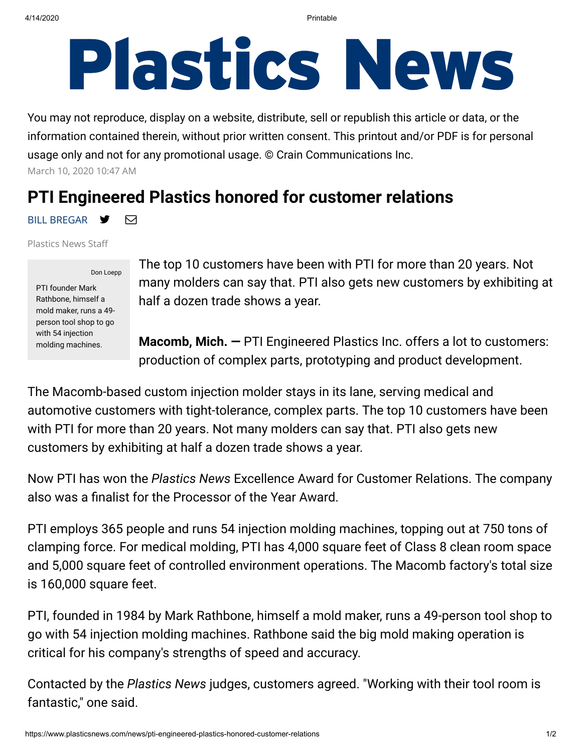## **Plastics News**

You may not reproduce, display on a website, distribute, sell or republish this article or data, or the information contained therein, without prior written consent. This printout and/or PDF is for personal usage only and not for any promotional usage. © Crain Communications Inc. March 10, 2020 10:47 AM

## **PTI Engineered Plastics honored for customer relations**

BILL BREGAR <del>y</del> ⊠

Plastics News Sta

Don Loepp PTI founder Mark Rathbone, himself a mold maker, runs a 49 person tool shop to go with 54 injection molding machines.

The top 10 customers have been with PTI for more than 20 years. Not many molders can say that. PTI also gets new customers by exhibiting at half a dozen trade shows a year.

**Macomb, Mich. —** PTI Engineered Plastics Inc. offers a lot to customers: production of complex parts, prototyping and product development.

The Macomb-based custom injection molder stays in its lane, serving medical and automotive customers with tight-tolerance, complex parts. The top 10 customers have been with PTI for more than 20 years. Not many molders can say that. PTI also gets new customers by exhibiting at half a dozen trade shows a year.

Now PTI has won the *Plastics News* Excellence Award for Customer Relations. The company also was a finalist for the Processor of the Year Award.

PTI employs 365 people and runs 54 injection molding machines, topping out at 750 tons of clamping force. For medical molding, PTI has 4,000 square feet of Class 8 clean room space and 5,000 square feet of controlled environment operations. The Macomb factory's total size is 160,000 square feet.

PTI, founded in 1984 by Mark Rathbone, himself a mold maker, runs a 49-person tool shop to go with 54 injection molding machines. Rathbone said the big mold making operation is critical for his company's strengths of speed and accuracy.

Contacted by the *Plastics News* judges, customers agreed. "Working with their tool room is fantastic," one said.